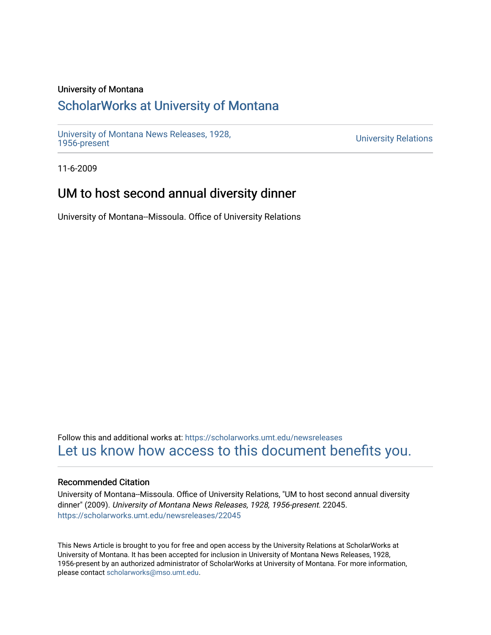### University of Montana

## [ScholarWorks at University of Montana](https://scholarworks.umt.edu/)

[University of Montana News Releases, 1928,](https://scholarworks.umt.edu/newsreleases) 

**University Relations** 

11-6-2009

## UM to host second annual diversity dinner

University of Montana--Missoula. Office of University Relations

Follow this and additional works at: [https://scholarworks.umt.edu/newsreleases](https://scholarworks.umt.edu/newsreleases?utm_source=scholarworks.umt.edu%2Fnewsreleases%2F22045&utm_medium=PDF&utm_campaign=PDFCoverPages) [Let us know how access to this document benefits you.](https://goo.gl/forms/s2rGfXOLzz71qgsB2) 

#### Recommended Citation

University of Montana--Missoula. Office of University Relations, "UM to host second annual diversity dinner" (2009). University of Montana News Releases, 1928, 1956-present. 22045. [https://scholarworks.umt.edu/newsreleases/22045](https://scholarworks.umt.edu/newsreleases/22045?utm_source=scholarworks.umt.edu%2Fnewsreleases%2F22045&utm_medium=PDF&utm_campaign=PDFCoverPages) 

This News Article is brought to you for free and open access by the University Relations at ScholarWorks at University of Montana. It has been accepted for inclusion in University of Montana News Releases, 1928, 1956-present by an authorized administrator of ScholarWorks at University of Montana. For more information, please contact [scholarworks@mso.umt.edu.](mailto:scholarworks@mso.umt.edu)